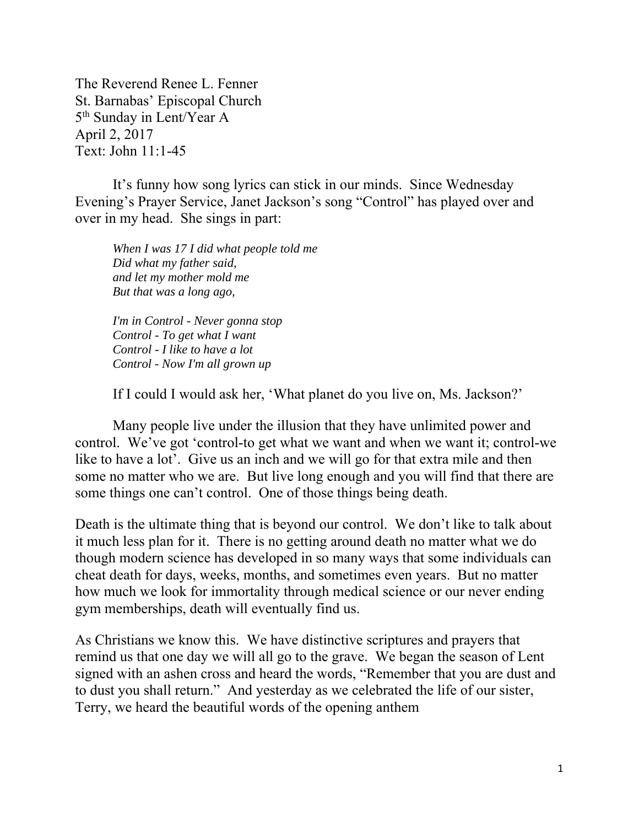The Reverend Renee L. Fenner St. Barnabas' Episcopal Church 5<sup>th</sup> Sunday in Lent/Year A April 2, 2017 Text: John 11:1-45

It's funny how song lyrics can stick in our minds. Since Wednesday Evening's Prayer Service, Janet Jackson's song "Control" has played over and over in my head. She sings in part:

*When I was 17 I did what people told me Did what my father said, and let my mother mold me But that was a long ago,* 

*I'm in Control - Never gonna stop Control - To get what I want Control - I like to have a lot Control - Now I'm all grown up* 

If I could I would ask her, 'What planet do you live on, Ms. Jackson?'

Many people live under the illusion that they have unlimited power and control. We've got 'control-to get what we want and when we want it; control-we like to have a lot'. Give us an inch and we will go for that extra mile and then some no matter who we are. But live long enough and you will find that there are some things one can't control. One of those things being death.

Death is the ultimate thing that is beyond our control. We don't like to talk about it much less plan for it. There is no getting around death no matter what we do though modern science has developed in so many ways that some individuals can cheat death for days, weeks, months, and sometimes even years. But no matter how much we look for immortality through medical science or our never ending gym memberships, death will eventually find us.

As Christians we know this. We have distinctive scriptures and prayers that remind us that one day we will all go to the grave. We began the season of Lent signed with an ashen cross and heard the words, "Remember that you are dust and to dust you shall return." And yesterday as we celebrated the life of our sister, Terry, we heard the beautiful words of the opening anthem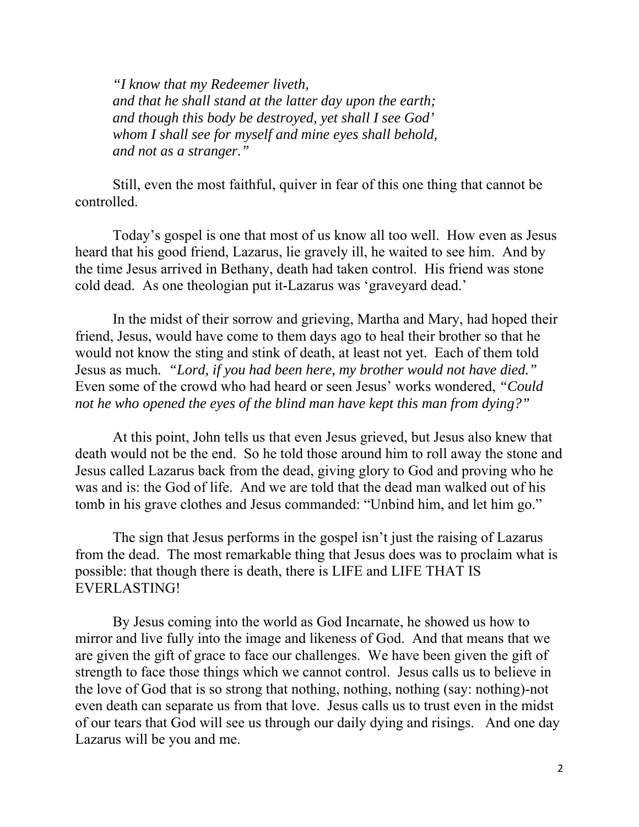*"I know that my Redeemer liveth, and that he shall stand at the latter day upon the earth; and though this body be destroyed, yet shall I see God' whom I shall see for myself and mine eyes shall behold, and not as a stranger."* 

Still, even the most faithful, quiver in fear of this one thing that cannot be controlled.

Today's gospel is one that most of us know all too well. How even as Jesus heard that his good friend, Lazarus, lie gravely ill, he waited to see him. And by the time Jesus arrived in Bethany, death had taken control. His friend was stone cold dead. As one theologian put it-Lazarus was 'graveyard dead.'

In the midst of their sorrow and grieving, Martha and Mary, had hoped their friend, Jesus, would have come to them days ago to heal their brother so that he would not know the sting and stink of death, at least not yet. Each of them told Jesus as much*. "Lord, if you had been here, my brother would not have died."* Even some of the crowd who had heard or seen Jesus' works wondered, *"Could not he who opened the eyes of the blind man have kept this man from dying?"* 

At this point, John tells us that even Jesus grieved, but Jesus also knew that death would not be the end. So he told those around him to roll away the stone and Jesus called Lazarus back from the dead, giving glory to God and proving who he was and is: the God of life. And we are told that the dead man walked out of his tomb in his grave clothes and Jesus commanded: "Unbind him, and let him go."

The sign that Jesus performs in the gospel isn't just the raising of Lazarus from the dead. The most remarkable thing that Jesus does was to proclaim what is possible: that though there is death, there is LIFE and LIFE THAT IS EVERLASTING!

By Jesus coming into the world as God Incarnate, he showed us how to mirror and live fully into the image and likeness of God. And that means that we are given the gift of grace to face our challenges. We have been given the gift of strength to face those things which we cannot control. Jesus calls us to believe in the love of God that is so strong that nothing, nothing, nothing (say: nothing)-not even death can separate us from that love. Jesus calls us to trust even in the midst of our tears that God will see us through our daily dying and risings. And one day Lazarus will be you and me.